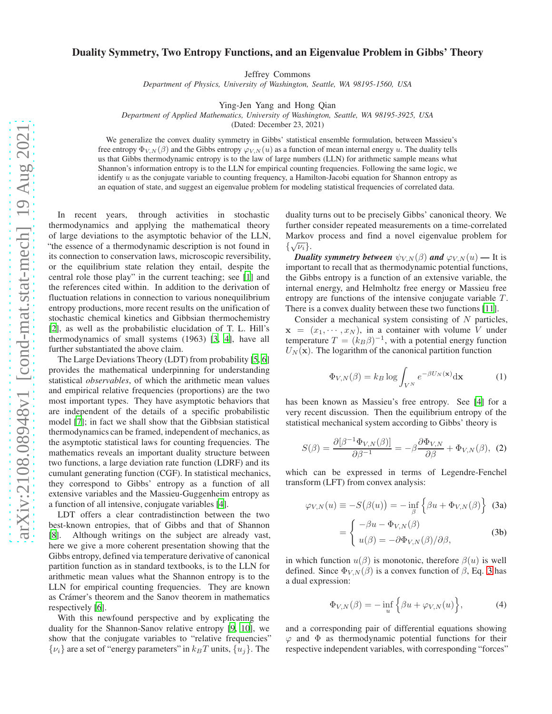## Duality Symmetry, Two Entropy Functions, and an Eigenvalue Problem in Gibbs' Theory

Jeffrey Commons

*Department of Physics, University of Washington, Seattle, WA 98195-1560, USA*

Ying-Jen Yang and Hong Qian

*Department of Applied Mathematics, University of Washington, Seattle, WA 98195-3925, USA*

(Dated: December 23, 2021)

We generalize the convex duality symmetry in Gibbs' statistical ensemble formulation, between Massieu's free entropy  $\Phi_{V,N}(\beta)$  and the Gibbs entropy  $\varphi_{V,N}(u)$  as a function of mean internal energy u. The duality tells us that Gibbs thermodynamic entropy is to the law of large numbers (LLN) for arithmetic sample means what Shannon's information entropy is to the LLN for empirical counting frequencies. Following the same logic, we identify  $u$  as the conjugate variable to counting frequency, a Hamilton-Jacobi equation for Shannon entropy as an equation of state, and suggest an eigenvalue problem for modeling statistical frequencies of correlated data.

In recent years, through activities in stochastic thermodynamics and applying the mathematical theory of large deviations to the asymptotic behavior of the LLN, "the essence of a thermodynamic description is not found in its connection to conservation laws, microscopic reversibility, or the equilibrium state relation they entail, despite the central role those play" in the current teaching; see [\[1\]](#page-4-0) and the references cited within. In addition to the derivation of fluctuation relations in connection to various nonequilibrium entropy productions, more recent results on the unification of stochastic chemical kinetics and Gibbsian thermochemistry [\[2](#page-4-1)], as well as the probabilistic elucidation of T. L. Hill's thermodynamics of small systems (1963) [\[3,](#page-4-2) [4](#page-4-3)], have all further substantiated the above claim.

The Large Deviations Theory (LDT) from probability [\[5](#page-4-4), [6\]](#page-4-5) provides the mathematical underpinning for understanding statistical *observables*, of which the arithmetic mean values and empirical relative frequencies (proportions) are the two most important types. They have asymptotic behaviors that are independent of the details of a specific probabilistic model [\[7](#page-4-6)]; in fact we shall show that the Gibbsian statistical thermodynamics can be framed, independent of mechanics, as the asymptotic statistical laws for counting frequencies. The mathematics reveals an important duality structure between two functions, a large deviation rate function (LDRF) and its cumulant generating function (CGF). In statistical mechanics, they correspond to Gibbs' entropy as a function of all extensive variables and the Massieu-Guggenheim entropy as a function of all intensive, conjugate variables [\[4](#page-4-3)].

LDT offers a clear contradistinction between the two best-known entropies, that of Gibbs and that of Shannon [\[8](#page-4-7)]. Although writings on the subject are already vast, here we give a more coherent presentation showing that the Gibbs entropy, defined via temperature derivative of canonical partition function as in standard textbooks, is to the LLN for arithmetic mean values what the Shannon entropy is to the LLN for empirical counting frequencies. They are known as Crámer's theorem and the Sanov theorem in mathematics respectively [\[6\]](#page-4-5).

With this newfound perspective and by explicating the duality for the Shannon-Sanov relative entropy [\[9,](#page-4-8) [10](#page-4-9)], we show that the conjugate variables to "relative frequencies"  $\{v_i\}$  are a set of "energy parameters" in  $k_BT$  units,  $\{u_i\}$ . The duality turns out to be precisely Gibbs' canonical theory. We further consider repeated measurements on a time-correlated Markov process and find a novel eigenvalue problem for  $\{\sqrt{\nu_i}\}.$ 

*Duality symmetry between*  $\psi_{V,N}(\beta)$  *and*  $\varphi_{V,N}(u)$  — It is important to recall that as thermodynamic potential functions, the Gibbs entropy is a function of an extensive variable, the internal energy, and Helmholtz free energy or Massieu free entropy are functions of the intensive conjugate variable  $T$ . There is a convex duality between these two functions [\[11](#page-4-10)].

Consider a mechanical system consisting of  $N$  particles,  $x = (x_1, \dots, x_N)$ , in a container with volume V under temperature  $T = (k_B \beta)^{-1}$ , with a potential energy function  $U<sub>N</sub>(\mathbf{x})$ . The logarithm of the canonical partition function

$$
\Phi_{V,N}(\beta) = k_B \log \int_{V^N} e^{-\beta U_N(\mathbf{x})} \mathrm{d}\mathbf{x} \tag{1}
$$

has been known as Massieu's free entropy. See [\[4](#page-4-3)] for a very recent discussion. Then the equilibrium entropy of the statistical mechanical system according to Gibbs' theory is

$$
S(\beta) = \frac{\partial [\beta^{-1} \Phi_{V,N}(\beta)]}{\partial \beta^{-1}} = -\beta \frac{\partial \Phi_{V,N}}{\partial \beta} + \Phi_{V,N}(\beta), \tag{2}
$$

which can be expressed in terms of Legendre-Fenchel transform (LFT) from convex analysis:

<span id="page-0-0"></span>
$$
\varphi_{V,N}(u) \equiv -S(\beta(u)) = -\inf_{\beta} \left\{ \beta u + \Phi_{V,N}(\beta) \right\} (3a)
$$

$$
= \begin{cases} -\beta u - \Phi_{V,N}(\beta) \\ u(\beta) = -\partial \Phi_{V,N}(\beta) / \partial \beta, \end{cases} (3b)
$$

in which function  $u(\beta)$  is monotonic, therefore  $\beta(u)$  is well defined. Since  $\Phi_{V,N}(\beta)$  is a convex function of  $\beta$ , Eq. [3](#page-0-0) has a dual expression:

<span id="page-0-1"></span>
$$
\Phi_{V,N}(\beta) = -\inf_{u} \left\{ \beta u + \varphi_{V,N}(u) \right\},\tag{4}
$$

and a corresponding pair of differential equations showing  $\varphi$  and  $\Phi$  as thermodynamic potential functions for their respective independent variables, with corresponding "forces"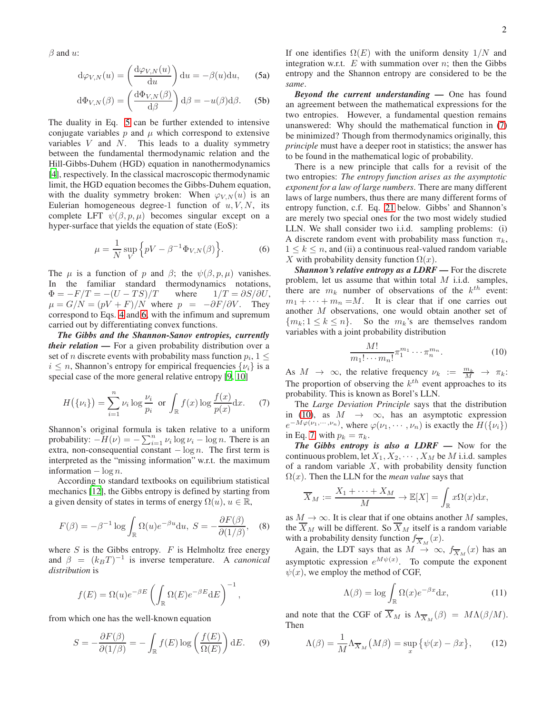$\beta$  and  $u$ :

<span id="page-1-0"></span>
$$
d\varphi_{V,N}(u) = \left(\frac{d\varphi_{V,N}(u)}{du}\right) du = -\beta(u) du, \qquad (5a)
$$

$$
d\Phi_{V,N}(\beta) = \left(\frac{d\Phi_{V,N}(\beta)}{d\beta}\right) d\beta = -u(\beta)d\beta.
$$
 (5b)

The duality in Eq. [5](#page-1-0) can be further extended to intensive conjugate variables  $p$  and  $\mu$  which correspond to extensive variables  $V$  and  $N$ . This leads to a duality symmetry between the fundamental thermodynamic relation and the Hill-Gibbs-Duhem (HGD) equation in nanothermodynamics [\[4](#page-4-3)], respectively. In the classical macroscopic thermodynamic limit, the HGD equation becomes the Gibbs-Duhem equation, with the duality symmetry broken: When  $\varphi_{V,N}(u)$  is an Eulerian homogeneous degree-1 function of  $u, V, N$ , its complete LFT  $\psi(\beta, p, \mu)$  becomes singular except on a hyper-surface that yields the equation of state (EoS):

<span id="page-1-1"></span>
$$
\mu = \frac{1}{N} \sup_{V} \left\{ pV - \beta^{-1} \Phi_{V,N}(\beta) \right\}.
$$
 (6)

The  $\mu$  is a function of p and  $\beta$ ; the  $\psi(\beta, p, \mu)$  vanishes. In the familiar standard thermodynamics notations,  $\Phi = -F/T = -(U - TS)/T$  where  $1/T = \partial S/\partial U$ ,  $\mu = G/N = (pV + F)/N$  where  $p = -\partial F/\partial V$ . They correspond to Eqs. [4](#page-0-1) and [6,](#page-1-1) with the infimum and supremum carried out by differentiating convex functions.

*The Gibbs and the Shannon-Sanov entropies, currently their relation —* For a given probability distribution over a set of *n* discrete events with probability mass function  $p_i$ ,  $1 \leq$  $i \leq n$ , Shannon's entropy for empirical frequencies  $\{\nu_i\}$  is a special case of the more general relative entropy [\[9](#page-4-8), [10](#page-4-9)]

<span id="page-1-2"></span>
$$
H(\{\nu_i\}) = \sum_{i=1}^n \nu_i \log \frac{\nu_i}{p_i} \text{ or } \int_{\mathbb{R}} f(x) \log \frac{f(x)}{p(x)} dx. \tag{7}
$$

Shannon's original formula is taken relative to a uniform probability:  $-H(\nu) = -\sum_{i=1}^{n} \nu_i \log \nu_i - \log n$ . There is an extra, non-consequential constant  $-\log n$ . The first term is interpreted as the "missing information" w.r.t. the maximum information  $-\log n$ .

According to standard textbooks on equilibrium statistical mechanics [\[12\]](#page-4-11), the Gibbs entropy is defined by starting from a given density of states in terms of energy  $\Omega(u)$ ,  $u \in \mathbb{R}$ ,

$$
F(\beta) = -\beta^{-1} \log \int_{\mathbb{R}} \Omega(u) e^{-\beta u} \mathrm{d}u, \ S = -\frac{\partial F(\beta)}{\partial (1/\beta)}, \quad (8)
$$

where  $S$  is the Gibbs entropy.  $F$  is Helmholtz free energy and  $\beta = (k_B T)^{-1}$  is inverse temperature. A *canonical distribution* is

$$
f(E) = \Omega(u)e^{-\beta E} \left( \int_{\mathbb{R}} \Omega(E)e^{-\beta E} dE \right)^{-1},
$$

from which one has the well-known equation

$$
S = -\frac{\partial F(\beta)}{\partial (1/\beta)} = -\int_{\mathbb{R}} f(E) \log \left( \frac{f(E)}{\Omega(E)} \right) dE. \tag{9}
$$

If one identifies  $\Omega(E)$  with the uniform density  $1/N$  and integration w.r.t.  $E$  with summation over  $n$ ; then the Gibbs entropy and the Shannon entropy are considered to be the *same*.

*Beyond the current understanding —* One has found an agreement between the mathematical expressions for the two entropies. However, a fundamental question remains unanswered: Why should the mathematical function in [\(7\)](#page-1-2) be minimized? Though from thermodynamics originally, this *principle* must have a deeper root in statistics; the answer has to be found in the mathematical logic of probability.

There is a new principle that calls for a revisit of the two entropies: *The entropy function arises as the asymptotic exponent for a law of large numbers*. There are many different laws of large numbers, thus there are many different forms of entropy function, c.f. Eq. [21](#page-3-0) below. Gibbs' and Shannon's are merely two special ones for the two most widely studied LLN. We shall consider two i.i.d. sampling problems: (i) A discrete random event with probability mass function  $\pi_k$ ,  $1 \leq k \leq n$ , and (ii) a continuous real-valued random variable X with probability density function  $\Omega(x)$ .

*Shannon's relative entropy as a LDRF —* For the discrete problem, let us assume that within total  $M$  i.i.d. samples, there are  $m_k$  number of observations of the  $k^{th}$  event:  $m_1 + \cdots + m_n = M$ . It is clear that if one carries out another M observations, one would obtain another set of  ${m_k; 1 \le k \le n}.$  So the  $m_k$ 's are themselves random variables with a joint probability distribution

<span id="page-1-3"></span>
$$
\frac{M!}{m_1! \cdots m_n!} \pi_1^{m_1} \cdots \pi_n^{m_n}.
$$
 (10)

As  $M \to \infty$ , the relative frequency  $\nu_k := \frac{m_k}{M} \to \pi_k$ : The proportion of observing the  $k^{th}$  event approaches to its probability. This is known as Borel's LLN.

The *Large Deviation Principle* says that the distribution in [\(10\)](#page-1-3), as  $M \rightarrow \infty$ , has an asymptotic expression  $e^{-M\varphi(\nu_1,\cdots,\nu_n)}$ , where  $\varphi(\nu_1,\cdots,\nu_n)$  is exactly the  $H(\{\nu_i\})$ in Eq. [7,](#page-1-2) with  $p_k = \pi_k$ .

*The Gibbs entropy is also a LDRF —* Now for the continuous problem, let  $X_1, X_2, \cdots, X_M$  be M i.i.d. samples of a random variable  $X$ , with probability density function  $\Omega(x)$ . Then the LLN for the *mean value* says that

$$
\overline{X}_M := \frac{X_1 + \dots + X_M}{M} \to \mathbb{E}[X] = \int_{\mathbb{R}} x \Omega(x) dx,
$$

as  $M \to \infty$ . It is clear that if one obtains another M samples, the  $\overline{X}_M$  will be different. So  $\overline{X}_M$  itself is a random variable with a probability density function  $f_{\overline{X}_M}(x)$ .

Again, the LDT says that as  $M \to \infty$ ,  $f_{\overline{X}_M}(x)$  has an asymptotic expression  $e^{M\psi(x)}$ . To compute the exponent  $\psi(x)$ , we employ the method of CGF,

$$
\Lambda(\beta) = \log \int_{\mathbb{R}} \Omega(x) e^{-\beta x} dx,
$$
 (11)

and note that the CGF of  $X_M$  is  $\Lambda_{\overline{X}_M}(\beta) = M\Lambda(\beta/M)$ . Then

$$
\Lambda(\beta) = \frac{1}{M} \Lambda_{\overline{X}_M} \big( M\beta \big) = \sup_x \big\{ \psi(x) - \beta x \big\},\tag{12}
$$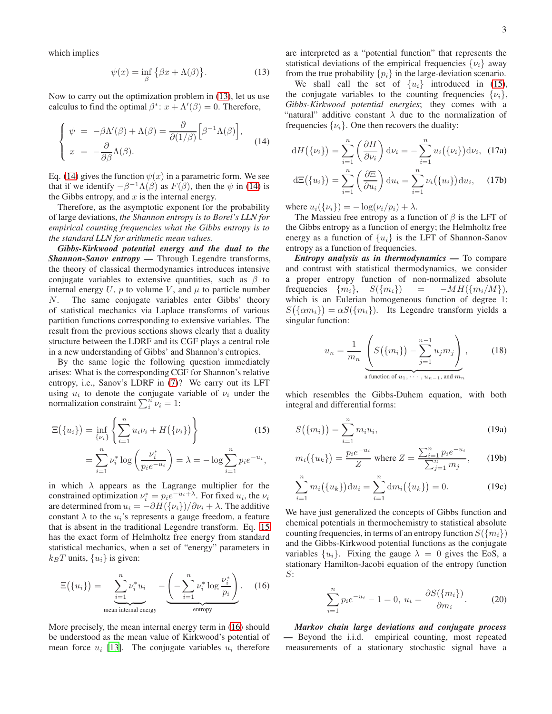which implies

<span id="page-2-0"></span>
$$
\psi(x) = \inf_{\beta} \{ \beta x + \Lambda(\beta) \}.
$$
 (13)

Now to carry out the optimization problem in [\(13\)](#page-2-0), let us use calculus to find the optimal  $\beta^*$ :  $x + \Lambda'(\beta) = 0$ . Therefore,

<span id="page-2-1"></span>
$$
\begin{cases}\n\psi = -\beta \Lambda'(\beta) + \Lambda(\beta) = \frac{\partial}{\partial(1/\beta)} \Big[ \beta^{-1} \Lambda(\beta) \Big], \\
x = -\frac{\partial}{\partial \beta} \Lambda(\beta).\n\end{cases}
$$
\n(14)

Eq. [\(14\)](#page-2-1) gives the function  $\psi(x)$  in a parametric form. We see that if we identify  $-\beta^{-1}\Lambda(\beta)$  as  $F(\beta)$ , then the  $\psi$  in [\(14\)](#page-2-1) is the Gibbs entropy, and  $x$  is the internal energy.

Therefore, as the asymptotic exponent for the probability of large deviations, *the Shannon entropy is to Borel's LLN for empirical counting frequencies what the Gibbs entropy is to the standard LLN for arithmetic mean values.*

*Gibbs-Kirkwood potential energy and the dual to the Shannon-Sanov entropy —* Through Legendre transforms, the theory of classical thermodynamics introduces intensive conjugate variables to extensive quantities, such as  $\beta$  to internal energy  $U$ ,  $p$  to volume  $V$ , and  $\mu$  to particle number N. The same conjugate variables enter Gibbs' theory of statistical mechanics via Laplace transforms of various partition functions corresponding to extensive variables. The result from the previous sections shows clearly that a duality structure between the LDRF and its CGF plays a central role in a new understanding of Gibbs' and Shannon's entropies.

By the same logic the following question immediately arises: What is the corresponding CGF for Shannon's relative entropy, i.e., Sanov's LDRF in [\(7\)](#page-1-2)? We carry out its LFT using  $u_i$  to denote the conjugate variable of  $\nu_i$  under the normalization constraint  $\sum_{i=1}^{n} \nu_i = 1$ :

<span id="page-2-2"></span>
$$
\Xi({u_i}) = \inf_{\{\nu_i\}} \left\{ \sum_{i=1}^n u_i \nu_i + H({\{\nu_i\}}) \right\} \tag{15}
$$
\n
$$
= \sum_{i=1}^n \nu_i^* \log \left( \frac{\nu_i^*}{p_i e^{-u_i}} \right) = \lambda = -\log \sum_{i=1}^n p_i e^{-u_i},
$$

in which  $\lambda$  appears as the Lagrange multiplier for the constrained optimization  $\nu_i^* = p_i e^{-u_i + \lambda}$ . For fixed  $u_i$ , the  $\nu_i$ are determined from  $u_i = -\partial H(\{\nu_i\})/\partial \nu_i + \lambda$ . The additive constant  $\lambda$  to the  $u_i$ 's represents a gauge freedom, a feature that is absent in the traditional Legendre transform. Eq. [15](#page-2-2) has the exact form of Helmholtz free energy from standard statistical mechanics, when a set of "energy" parameters in  $k_BT$  units,  $\{u_i\}$  is given:

<span id="page-2-3"></span>
$$
\Xi(\{u_i\}) = \underbrace{\sum_{i=1}^n \nu_i^* u_i}_{\text{mean internal energy}} - \underbrace{\left(-\sum_{i=1}^n \nu_i^* \log \frac{\nu_i^*}{p_i}\right)}_{\text{entropy}}.
$$
 (16)

More precisely, the mean internal energy term in [\(16\)](#page-2-3) should be understood as the mean value of Kirkwood's potential of mean force  $u_i$  [\[13\]](#page-4-12). The conjugate variables  $u_i$  therefore are interpreted as a "potential function" that represents the statistical deviations of the empirical frequencies  $\{\nu_i\}$  away from the true probability  $\{p_i\}$  in the large-deviation scenario.

We shall call the set of  $\{u_i\}$  introduced in [\(15\)](#page-2-2), the conjugate variables to the counting frequencies  $\{\nu_i\},\$ *Gibbs-Kirkwood potential energies*; they comes with a "natural" additive constant  $\lambda$  due to the normalization of frequencies  $\{\nu_i\}$ . One then recovers the duality:

$$
dH(\{\nu_i\}) = \sum_{i=1}^n \left(\frac{\partial H}{\partial \nu_i}\right) d\nu_i = -\sum_{i=1}^n u_i(\{\nu_i\}) d\nu_i, (17a)
$$

$$
d\Xi(\{u_i\}) = \sum_{i=1}^n \left(\frac{\partial \Xi}{\partial u_i}\right) du_i = \sum_{i=1}^n \nu_i(\{u_i\}) du_i, \quad (17b)
$$

where  $u_i({\{\nu_i\}}) = -\log(\nu_i/p_i) + \lambda$ .

The Massieu free entropy as a function of  $\beta$  is the LFT of the Gibbs entropy as a function of energy; the Helmholtz free energy as a function of  $\{u_i\}$  is the LFT of Shannon-Sanov entropy as a function of frequencies.

*Entropy analysis as in thermodynamics —* To compare and contrast with statistical thermodynamics, we consider a proper entropy function of non-normalized absolute frequencies  $\{m_i\}$ ,  $S(\{m_i\})$  =  $-MH(\{m_i/M\})$ , which is an Eulerian homogeneous function of degree 1:  $S(\{\alpha m_i\}) = \alpha S(\{m_i\})$ . Its Legendre transform yields a singular function:

$$
u_n = \frac{1}{m_n} \underbrace{\left( S(\{m_i\}) - \sum_{j=1}^{n-1} u_j m_j \right)}_{\text{a function of } u_1, \dots, u_{n-1}, \text{ and } m_n},
$$
 (18)

which resembles the Gibbs-Duhem equation, with both integral and differential forms:

$$
S(\{m_i\}) = \sum_{i=1}^{n} m_i u_i,
$$
\n(19a)

$$
m_i({u_k}) = \frac{p_i e^{-u_i}}{Z} \text{ where } Z = \frac{\sum_{i=1}^{n} p_i e^{-u_i}}{\sum_{j=1}^{n} m_j}, \qquad (19b)
$$

$$
\sum_{i=1}^{n} m_i(\{u_k\}) du_i = \sum_{i=1}^{n} dm_i(\{u_k\}) = 0.
$$
 (19c)

We have just generalized the concepts of Gibbs function and chemical potentials in thermochemistry to statistical absolute counting frequencies, in terms of an entropy function  $S({m_i})$ and the Gibbs-Kirkwood potential functions as the conjugate variables  $\{u_i\}$ . Fixing the gauge  $\lambda = 0$  gives the EoS, a stationary Hamilton-Jacobi equation of the entropy function S:

$$
\sum_{i=1}^{n} p_i e^{-u_i} - 1 = 0, \ u_i = \frac{\partial S(\{m_i\})}{\partial m_i}.
$$
 (20)

*Markov chain large deviations and conjugate process —* Beyond the i.i.d. empirical counting, most repeated measurements of a stationary stochastic signal have a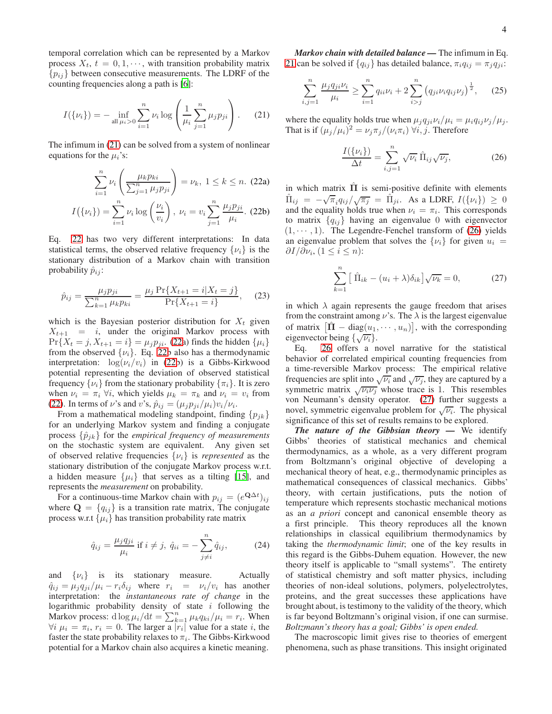temporal correlation which can be represented by a Markov process  $X_t$ ,  $t = 0, 1, \dots$ , with transition probability matrix  ${p_{ij}}$  between consecutive measurements. The LDRF of the counting frequencies along a path is [\[6](#page-4-5)]:

<span id="page-3-0"></span>
$$
I(\{\nu_i\}) = -\inf_{\text{all }\mu_i > 0} \sum_{i=1}^n \nu_i \log \left( \frac{1}{\mu_i} \sum_{j=1}^n \mu_j p_{ji} \right). \tag{21}
$$

The infimum in [\(21\)](#page-3-0) can be solved from a system of nonlinear equations for the  $\mu_i$ 's:

<span id="page-3-1"></span>
$$
\sum_{i=1}^{n} \nu_i \left( \frac{\mu_k p_{ki}}{\sum_{j=1}^{n} \mu_j p_{ji}} \right) = \nu_k, \ 1 \le k \le n. \tag{22a}
$$
\n
$$
I(\{\nu_i\}) = \sum_{i=1}^{n} \nu_i \log \left( \frac{\nu_i}{\nu_i} \right), \ \nu_i = \nu_i \sum_{j=1}^{n} \frac{\mu_j p_{ji}}{\mu_i}. \tag{22b}
$$

Eq. [22](#page-3-1) has two very different interpretations: In data statistical terms, the observed relative frequency  $\{\nu_i\}$  is the stationary distribution of a Markov chain with transition probability  $\hat{p}_{ij}$ :

$$
\hat{p}_{ij} = \frac{\mu_j p_{ji}}{\sum_{k=1}^n \mu_k p_{ki}} = \frac{\mu_j \Pr\{X_{t+1} = i | X_t = j\}}{\Pr\{X_{t+1} = i\}},\tag{23}
$$

which is the Bayesian posterior distribution for  $X_t$  given  $X_{t+1}$  = i, under the original Markov process with  $Pr{X_t = j, X_{t+1} = i} = \mu_j p_{ji}$ . [\(22a](#page-3-1)) finds the hidden  $\{\mu_i\}$ from the observed  $\{\nu_i\}$ . Eq. [22b](#page-3-1) also has a thermodynamic interpretation:  $\log(\nu_i/v_i)$  in [\(22b](#page-3-1)) is a Gibbs-Kirkwood potential representing the deviation of observed statistical frequency  $\{\nu_i\}$  from the stationary probability  $\{\pi_i\}$ . It is zero when  $\nu_i = \pi_i \forall i$ , which yields  $\mu_k = \pi_k$  and  $\nu_i = v_i$  from [\(22\)](#page-3-1). In terms of  $\nu$ 's and  $v$ 's,  $\hat{p}_{ij} = (\mu_j p_{ji}/\mu_i)v_i/\nu_i$ .

From a mathematical modeling standpoint, finding  $\{p_{jk}\}$ for an underlying Markov system and finding a conjugate process  $\{\hat{p}_{jk}\}$  for the *empirical frequency of measurements* on the stochastic system are equivalent. Any given set of observed relative frequencies  $\{\nu_i\}$  is *represented* as the stationary distribution of the conjugate Markov process w.r.t. a hidden measure  $\{\mu_i\}$  that serves as a tilting [\[15](#page-4-13)], and represents the *measurement* on probability.

For a continuous-time Markov chain with  $p_{ij} = (e^{\mathbf{Q}\Delta t})_{ij}$ where  $\mathbf{Q} = \{q_{ij}\}\$ is a transition rate matrix, The conjugate process w.r.t  $\{\mu_i\}$  has transition probability rate matrix

$$
\hat{q}_{ij} = \frac{\mu_j q_{ji}}{\mu_i} \text{ if } i \neq j, \ \hat{q}_{ii} = -\sum_{j \neq i}^n \hat{q}_{ij}, \tag{24}
$$

and  $\{v_i\}$  is its stationary measure. Actually  $\hat{q}_{ij} = \mu_i q_{ji} / \mu_i - r_i \delta_{ij}$  where  $r_i = \nu_i / v_i$  has another interpretation: the *instantaneous rate of change* in the logarithmic probability density of state  $i$  following the Markov process: d  $\log \mu_i/dt = \sum_{k=1}^n \mu_k q_{ki}/\mu_i = r_i$ . When  $\forall i \mu_i = \pi_i, r_i = 0$ . The larger a  $|r_i|$  value for a state i, the faster the state probability relaxes to  $\pi_i$ . The Gibbs-Kirkwood potential for a Markov chain also acquires a kinetic meaning.

*Markov chain with detailed balance —* The infimum in Eq. [21](#page-3-0) can be solved if  $\{q_{ij}\}\$  has detailed balance,  $\pi_i q_{ij} = \pi_j q_{ji}$ :

$$
\sum_{i,j=1}^{n} \frac{\mu_j q_{ji} \nu_i}{\mu_i} \ge \sum_{i=1}^{n} q_{ii} \nu_i + 2 \sum_{i>j}^{n} \left( q_{ji} \nu_i q_{ij} \nu_j \right)^{\frac{1}{2}}, \quad (25)
$$

where the equality holds true when  $\mu_i q_{ii} \nu_i / \mu_i = \mu_i q_{ii} \nu_i / \mu_i$ . That is if  $(\mu_j/\mu_i)^2 = \nu_j \pi_j/(\nu_i \pi_i) \ \forall i, j$ . Therefore

<span id="page-3-2"></span>
$$
\frac{I(\{\nu_i\})}{\Delta t} = \sum_{i,j=1}^n \sqrt{\nu_i} \hat{\Pi}_{ij} \sqrt{\nu_j},
$$
 (26)

in which matrix  $\Pi$  is semi-positive definite with elements  $\hat{\Pi}_{ij} = -\sqrt{\pi}_i q_{ij}/\sqrt{\pi_j} = \hat{\Pi}_{ji}$ . As a LDRF,  $I(\{\nu_i\}) \geq 0$ and the equality holds true when  $\nu_i = \pi_i$ . This corresponds to matrix  ${q_{ij}}$  having an eigenvalue 0 with eigenvector  $(1, \dots, 1)$ . The Legendre-Fenchel transform of  $(26)$  yields an eigenvalue problem that solves the  $\{\nu_i\}$  for given  $u_i =$  $\partial I/\partial \nu_i, (1 \leq i \leq n)$ :

<span id="page-3-3"></span>
$$
\sum_{k=1}^{n} \left[ \hat{\Pi}_{ik} - (u_i + \lambda) \delta_{ik} \right] \sqrt{\nu_k} = 0, \tag{27}
$$

in which  $\lambda$  again represents the gauge freedom that arises from the constraint among  $\nu$ 's. The  $\lambda$  is the largest eigenvalue of matrix  $\left[\hat{\mathbf{\Pi}} - \text{diag}(u_1, \dots, u_n)\right]$ , with the corresponding eigenvector being  $\{\sqrt{\nu_i}\}.$ 

Eq. [26](#page-3-2) offers a novel narrative for the statistical behavior of correlated empirical counting frequencies from a time-reversible Markov process: The empirical relative frequencies are split into  $\sqrt{\nu_i}$  and  $\sqrt{\nu_j}$ , they are captured by a symmetric matrix  $\sqrt{\nu_i \nu_j}$  whose trace is 1. This resembles von Neumann's density operator. [\(27\)](#page-3-3) further suggests a novel, symmetric eigenvalue problem for  $\sqrt{\nu_i}$ . The physical significance of this set of results remains to be explored.

*The nature of the Gibbsian theory —* We identify Gibbs' theories of statistical mechanics and chemical thermodynamics, as a whole, as a very different program from Boltzmann's original objective of developing a mechanical theory of heat, e.g., thermodynamic principles as mathematical consequences of classical mechanics. Gibbs' theory, with certain justifications, puts the notion of temperature which represents stochastic mechanical motions as an *a priori* concept and canonical ensemble theory as a first principle. This theory reproduces all the known relationships in classical equilibrium thermodynamics by taking the *thermodynamic limit*; one of the key results in this regard is the Gibbs-Duhem equation. However, the new theory itself is applicable to "small systems". The entirety of statistical chemistry and soft matter physics, including theories of non-ideal solutions, polymers, polyelectrolytes, proteins, and the great successes these applications have brought about, is testimony to the validity of the theory, which is far beyond Boltzmann's original vision, if one can surmise. *Boltzmann's theory has a goal; Gibbs' is open ended.*

The macroscopic limit gives rise to theories of emergent phenomena, such as phase transitions. This insight originated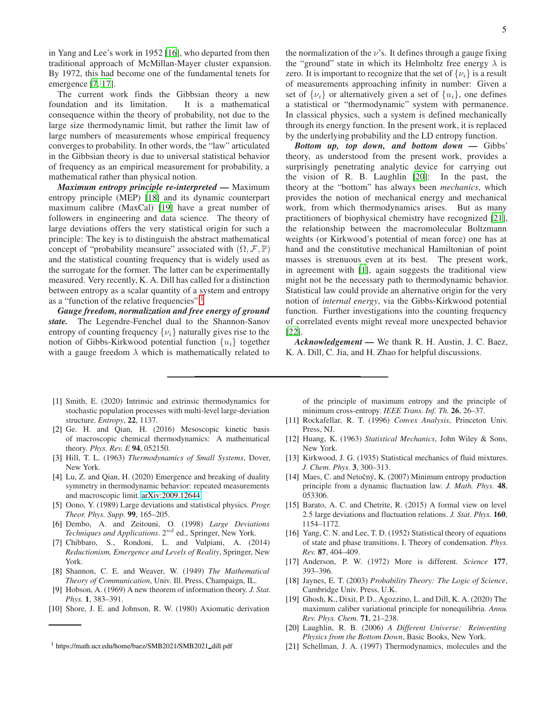in Yang and Lee's work in 1952 [\[16\]](#page-4-14), who departed from then traditional approach of McMillan-Mayer cluster expansion. By 1972, this had become one of the fundamental tenets for emergence [\[7,](#page-4-6) [17\]](#page-4-15).

The current work finds the Gibbsian theory a new foundation and its limitation. It is a mathematical consequence within the theory of probability, not due to the large size thermodynamic limit, but rather the limit law of large numbers of measurements whose empirical frequency converges to probability. In other words, the "law" articulated in the Gibbsian theory is due to universal statistical behavior of frequency as an empirical measurement for probability, a mathematical rather than physical notion.

*Maximum entropy principle re-interpreted —* Maximum entropy principle (MEP) [\[18\]](#page-4-16) and its dynamic counterpart maximum calibre (MaxCal) [\[19\]](#page-4-17) have a great number of followers in engineering and data science. The theory of large deviations offers the very statistical origin for such a principle: The key is to distinguish the abstract mathematical concept of "probability meansure" associated with  $(\Omega, \mathcal{F}, \mathbb{P})$ and the statistical counting frequency that is widely used as the surrogate for the former. The latter can be experimentally measured. Very recently, K. A. Dill has called for a distinction between entropy as a scalar quantity of a system and entropy as a "function of the relative frequencies".

*Gauge freedom, normalization and free energy of ground state.* The Legendre-Fenchel dual to the Shannon-Sanov entropy of counting frequency  $\{\nu_i\}$  naturally gives rise to the notion of Gibbs-Kirkwood potential function  $\{u_i\}$  together with a gauge freedom  $\lambda$  which is mathematically related to

- <span id="page-4-0"></span>[1] Smith, E. (2020) Intrinsic and extrinsic thermodynamics for stochastic population processes with multi-level large-deviation structure. *Entropy*, 22, 1137.
- <span id="page-4-1"></span>[2] Ge. H. and Qian, H. (2016) Mesoscopic kinetic basis of macroscopic chemical thermodynamics: A mathematical theory. *Phys. Rev. E* 94, 052150.
- <span id="page-4-2"></span>[3] Hill, T. L. (1963) *Thermodynamics of Small Systems*, Dover, New York.
- <span id="page-4-3"></span>[4] Lu, Z. and Qian, H. (2020) Emergence and breaking of duality symmetry in thermodynamic behavior: repeated measurements and macroscopic limit. [arXiv:2009.12644.](http://arxiv.org/abs/2009.12644)
- <span id="page-4-4"></span>[5] Oono, Y. (1989) Large deviations and statistical physics. *Progr. Theor. Phys. Supp.* 99, 165–205.
- <span id="page-4-5"></span>[6] Dembo, A. and Zeitouni, O. (1998) *Large Deviations Techniques and Applications.* 2<sup>nd</sup> ed., Springer, New York.
- <span id="page-4-6"></span>[7] Chibbaro, S., Rondoni, L. and Vulpiani, A. (2014) *Reductionism, Emergence and Levels of Reality*, Springer, New York.
- <span id="page-4-7"></span>[8] Shannon, C. E. and Weaver, W. (1949) *The Mathematical Theory of Communication*, Univ. Ill. Press, Champaign, IL.
- <span id="page-4-8"></span>[9] Hobson, A. (1969) A new theorem of information theory. *J. Stat. Phys.* 1, 383–391.
- <span id="page-4-9"></span>[10] Shore, J. E. and Johnson, R. W. (1980) Axiomatic derivation

the normalization of the  $\nu$ 's. It defines through a gauge fixing the "ground" state in which its Helmholtz free energy  $\lambda$  is zero. It is important to recognize that the set of  $\{\nu_i\}$  is a result of measurements approaching infinity in number: Given a set of  $\{\nu_i\}$  or alternatively given a set of  $\{u_i\}$ , one defines a statistical or "thermodynamic" system with permanence. In classical physics, such a system is defined mechanically through its energy function. In the present work, it is replaced by the underlying probability and the LD entropy function.

*Bottom up, top down, and bottom down —* Gibbs' theory, as understood from the present work, provides a surprisingly penetrating analytic device for carrying out the vision of R. B. Laughlin [\[20](#page-4-19)]: In the past, the theory at the "bottom" has always been *mechanics*, which provides the notion of mechanical energy and mechanical work, from which thermodynamics arises. But as many practitioners of biophysical chemistry have recognized [\[21\]](#page-4-20), the relationship between the macromolecular Boltzmann weights (or Kirkwood's potential of mean force) one has at hand and the constitutive mechanical Hamiltonian of point masses is strenuous even at its best. The present work, in agreement with [\[1\]](#page-4-0), again suggests the traditional view might not be the necessary path to thermodynamic behavior. Statistical law could provide an alternative origin for the very notion of *internal energy*, via the Gibbs-Kirkwood potential function. Further investigations into the counting frequency of correlated events might reveal more unexpected behavior [\[22](#page-5-0)].

*Acknowledgement —* We thank R. H. Austin, J. C. Baez, K. A. Dill, C. Jia, and H. Zhao for helpful discussions.

of the principle of maximum entropy and the principle of minimum cross-entropy. *IEEE Trans. Inf. Th.* 26, 26–37.

- <span id="page-4-10"></span>[11] Rockafellar, R. T. (1996) *Convex Analysis*, Princeton Univ. Press, NJ.
- <span id="page-4-11"></span>[12] Huang, K. (1963) *Statistical Mechanics*, John Wiley & Sons, New York.
- <span id="page-4-12"></span>[13] Kirkwood, J. G. (1935) Statistical mechanics of fluid mixtures. *J. Chem. Phys.* 3, 300–313.
- [14] Maes, C. and Netočný, K. (2007) Minimum entropy production principle from a dynamic fluctuation law. *J. Math. Phys.* 48, 053306.
- <span id="page-4-13"></span>[15] Barato, A. C. and Chetrite, R. (2015) A formal view on level 2.5 large deviations and fluctuation relations. *J. Stat. Phys.* 160, 1154–1172.
- <span id="page-4-14"></span>[16] Yang, C. N. and Lee, T. D. (1952) Statistical theory of equations of state and phase transitions. I. Theory of condensation. *Phys. Rev.* 87, 404–409.
- <span id="page-4-15"></span>[17] Anderson, P. W. (1972) More is different. *Science* 177, 393–396.
- <span id="page-4-16"></span>[18] Jaynes, E. T. (2003) *Probability Theory: The Logic of Science*, Cambridge Univ. Press, U.K.
- <span id="page-4-17"></span>[19] Ghosh, K., Dixit, P. D., Agozzino, L. and Dill, K. A. (2020) The maximum caliber variational principle for nonequilibria. *Annu. Rev. Phys. Chem.* 71, 21–238.
- <span id="page-4-19"></span>[20] Laughlin, R. B. (2006) *A Different Universe: Reinventing Physics from the Bottom Down*, Basic Books, New York.
- <span id="page-4-20"></span>[21] Schellman, J. A. (1997) Thermodynamics, molecules and the

<span id="page-4-18"></span><sup>1</sup> https://math.ucr.edu/home/baez/SMB2021/SMB2021 dill.pdf